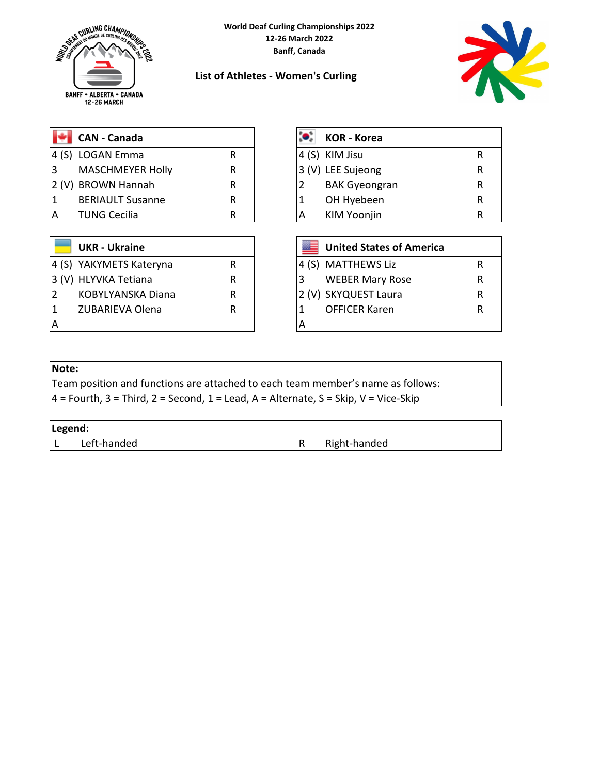



## **List of Athletes - Women's Curling**

|   | <b>CAN - Canada</b>     |   |  | <b>KOR - Korea</b> |
|---|-------------------------|---|--|--------------------|
|   | 4 (S) LOGAN Emma        | R |  | KIM Jisu           |
| 3 | <b>MASCHMEYER Holly</b> | R |  | 3 (V) LEE Sujeong  |
|   | 2 (V) BROWN Hannah      | R |  | <b>BAK Gyeong</b>  |
|   | <b>BERIAULT Susanne</b> | R |  | OH Hyebeer         |
| А | <b>TUNG Cecilia</b>     | R |  | <b>KIM Yoonjin</b> |

|   | $\left\  \cdot \right\ $ CAN - Canada |  | <b>KOR - Korea</b>   |   |
|---|---------------------------------------|--|----------------------|---|
|   | 4 (S) LOGAN Emma                      |  | 4 (S) KIM Jisu       |   |
| 3 | <b>MASCHMEYER Holly</b>               |  | 3 (V) LEE Sujeong    |   |
|   | 2 (V) BROWN Hannah                    |  | <b>BAK Gyeongran</b> | R |
| 1 | <b>BERIAULT Susanne</b>               |  | OH Hyebeen           | R |
| А | <b>TUNG Cecilia</b>                   |  | <b>KIM Yoonjin</b>   | R |

|   | <b>UKR - Ukraine</b>    |   |  | <b>United States of America</b> |  |
|---|-------------------------|---|--|---------------------------------|--|
|   | 4 (S) YAKYMETS Kateryna |   |  | 4 (S) MATTHEWS Liz              |  |
|   | 3 (V) HLYVKA Tetiana    | R |  | <b>WEBER Mary Rose</b>          |  |
|   | KOBYLYANSKA Diana       | R |  | 2 (V) SKYQUEST Laura            |  |
|   | <b>ZUBARIEVA Olena</b>  | R |  | <b>OFFICER Karen</b>            |  |
| А |                         |   |  |                                 |  |

## **Note:**

Team position and functions are attached to each team member's name as follows:

 $4$  = Fourth, 3 = Third, 2 = Second, 1 = Lead, A = Alternate, S = Skip, V = Vice-Skip

## **Legend:**

L Left-handed **R** Right-handed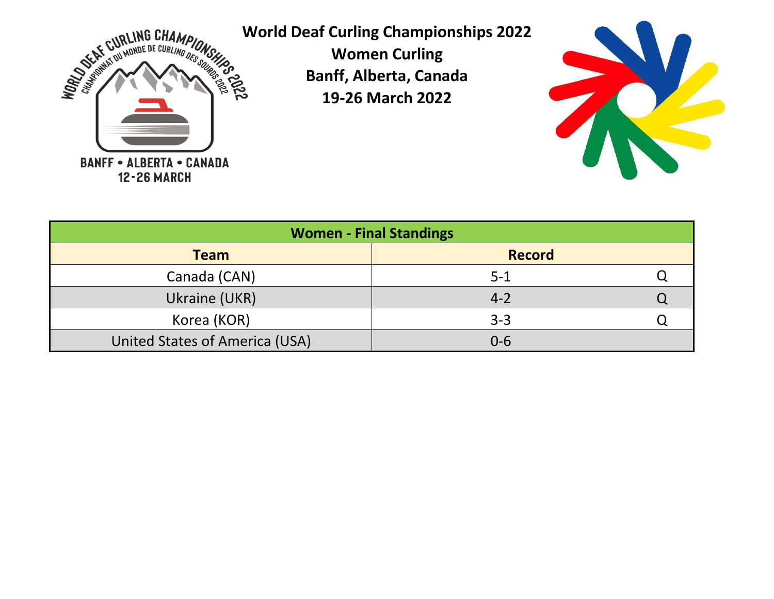

**World Deaf Curling Championships 2022**

**Women Curling Banff, Alberta, Canada 19-26 March 2022**



|                                | <b>Women - Final Standings</b> |  |
|--------------------------------|--------------------------------|--|
| <b>Team</b>                    | <b>Record</b>                  |  |
| Canada (CAN)                   | $5 - 1$                        |  |
| Ukraine (UKR)                  | $4 - 2$                        |  |
| Korea (KOR)                    | $3 - 3$                        |  |
| United States of America (USA) | $0 - 6$                        |  |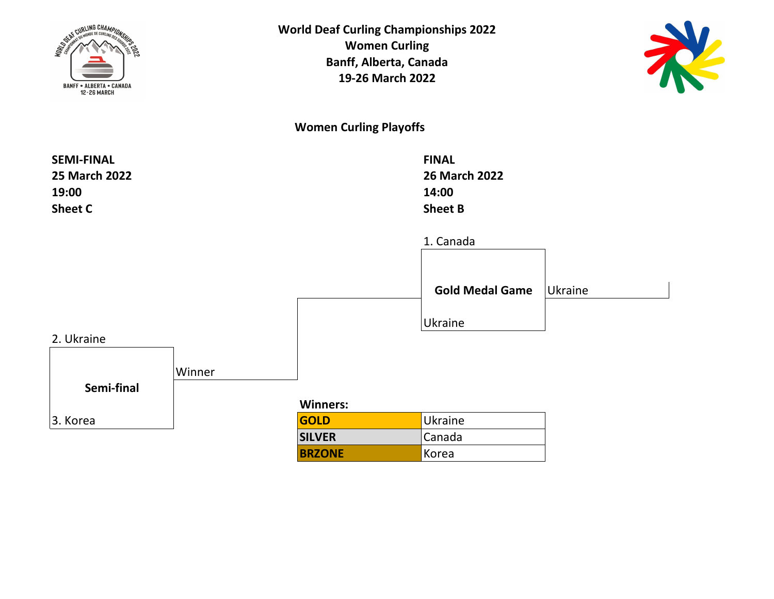



**Women Curling Playoffs**

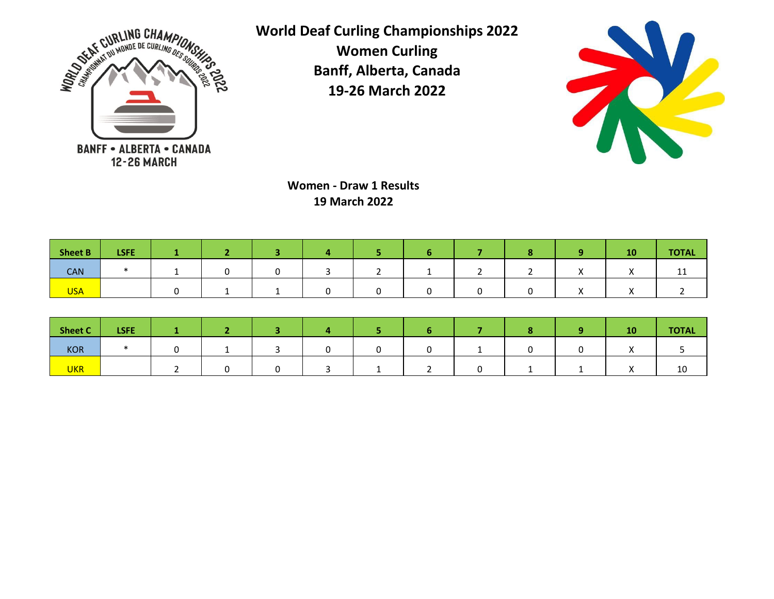

**World Deaf Curling Championships 2022 Women Curling**

> **Banff, Alberta, Canada 19-26 March 2022**



**Women - Draw 1 Results 19 March 2022**

| <b>Sheet B</b> | <b>LSFE</b> |  |  |   |  | 10 | <b>TOTAL</b> |
|----------------|-------------|--|--|---|--|----|--------------|
| <b>CAN</b>     |             |  |  | - |  |    | <b>++</b>    |
| <b>USA</b>     |             |  |  |   |  |    |              |

| <b>Sheet C</b> | <b>LSFE</b> |  |  |  |  | 10 | <b>TOTAL</b> |
|----------------|-------------|--|--|--|--|----|--------------|
| KOR            |             |  |  |  |  |    |              |
| <b>UKR</b>     |             |  |  |  |  |    | ΨU           |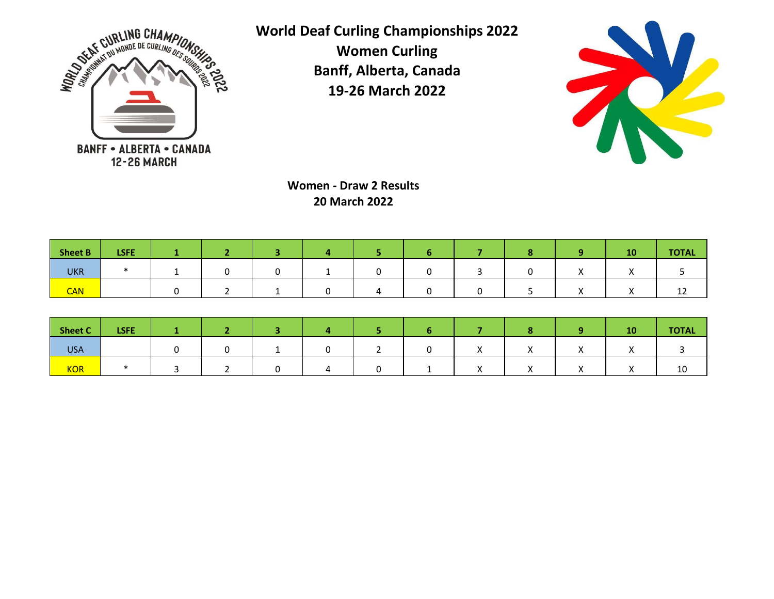

**World Deaf Curling Championships 2022 Women Curling**

**Banff, Alberta, Canada 19-26 March 2022**



**Women - Draw 2 Results 20 March 2022**

| <b>Sheet B</b> | <b>LSFE</b> |  |  |  |  | 10        | <b>TOTAL</b> |
|----------------|-------------|--|--|--|--|-----------|--------------|
| <b>UKR</b>     |             |  |  |  |  |           |              |
| <b>CAN</b>     |             |  |  |  |  | $\lambda$ | ---          |

| Sheet C    | <b>LSFE</b> |  |  |  |          |           | 10         | <b>TOTAL</b> |
|------------|-------------|--|--|--|----------|-----------|------------|--------------|
| <b>USA</b> |             |  |  |  | $\cdots$ |           |            |              |
| KOR        |             |  |  |  |          | $\lambda$ | $\sqrt{ }$ | 10           |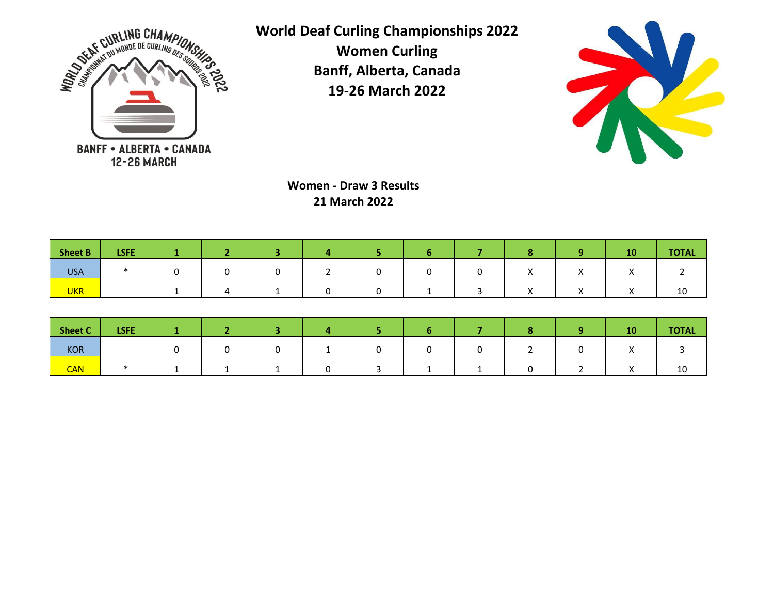

**World Deaf Curling Championships 2022 Women Curling**

> **Banff, Alberta, Canada 19-26 March 2022**



**Women - Draw 3 Results 21 March 2022**

| <b>Sheet B</b> | <b>LSFE</b> |  |  |  |  | 10        | <b>TOTAL</b> |
|----------------|-------------|--|--|--|--|-----------|--------------|
| <b>USA</b>     |             |  |  |  |  |           |              |
| <b>UKR</b>     |             |  |  |  |  | $\lambda$ | ΊÛ           |

| <b>Sheet C</b> | <b>LSFE</b> |  |  |  |  | 10 | <b>TOTAL</b> |
|----------------|-------------|--|--|--|--|----|--------------|
| <b>KOR</b>     |             |  |  |  |  |    |              |
| <b>CAN</b>     |             |  |  |  |  |    | πn           |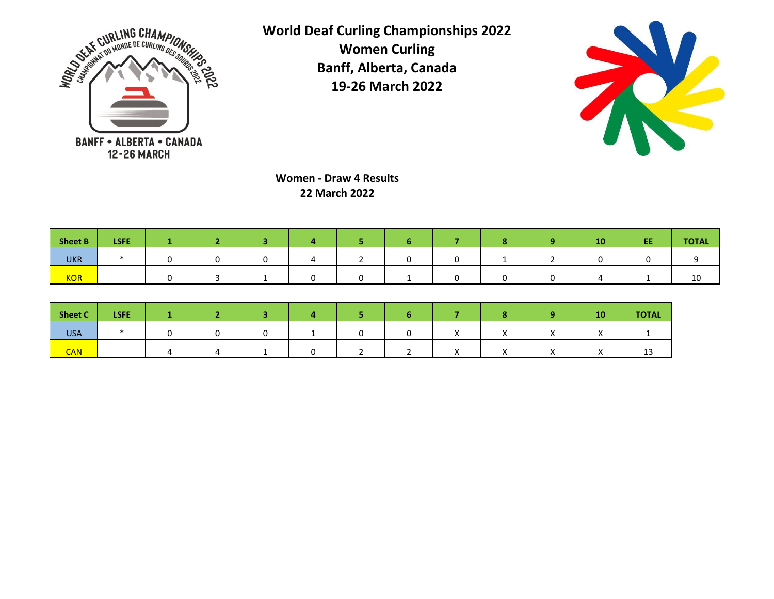



**Women - Draw 4 Results 22 March 2022**

| <b>Sheet B</b> | <b>LSFE</b> |  |  |  |  | 10 | EE | <b>TOTAL</b> |
|----------------|-------------|--|--|--|--|----|----|--------------|
| <b>UKR</b>     |             |  |  |  |  |    |    |              |
| <b>KOR</b>     |             |  |  |  |  |    |    | 10           |

| <b>Sheet C</b> | <b>LSFE</b> |  |  |  |  |            | <b>10</b> | <b>TOTAL</b> |
|----------------|-------------|--|--|--|--|------------|-----------|--------------|
| <b>USA</b>     |             |  |  |  |  | $\sqrt{ }$ |           |              |
| <b>CAN</b>     |             |  |  |  |  | $\lambda$  | $\cdots$  | --           |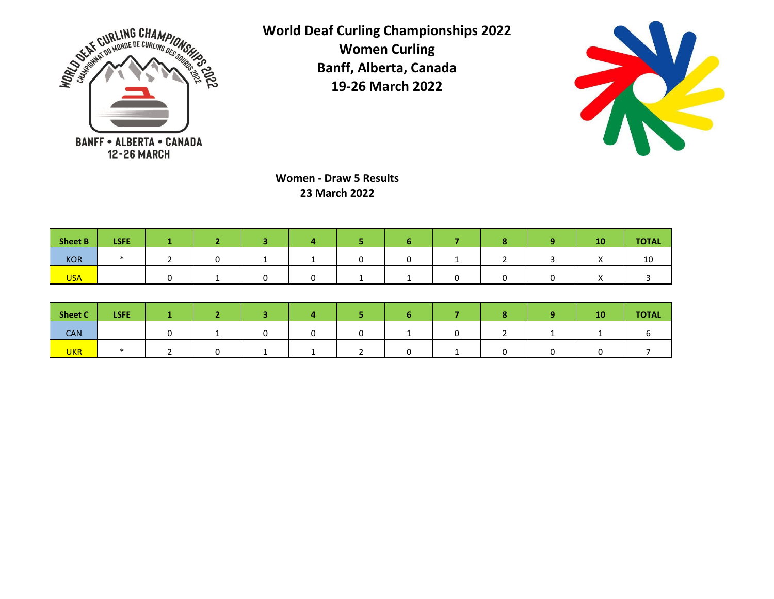



**Women - Draw 5 Results 23 March 2022**

| Sheet B    | <b>LSFE</b> |  |  |  |  | 40 <sub>7</sub> | <b>TOTAL</b> |
|------------|-------------|--|--|--|--|-----------------|--------------|
| KOR        |             |  |  |  |  |                 | ΊŪ           |
| <b>USA</b> |             |  |  |  |  | $\lambda$       |              |

| Sheet C    | <b>LSFE</b> |  |  |  |  | 10 <sub>l</sub> | <b>TOTAL</b> |
|------------|-------------|--|--|--|--|-----------------|--------------|
| <b>CAN</b> |             |  |  |  |  |                 |              |
| <b>UKR</b> |             |  |  |  |  |                 |              |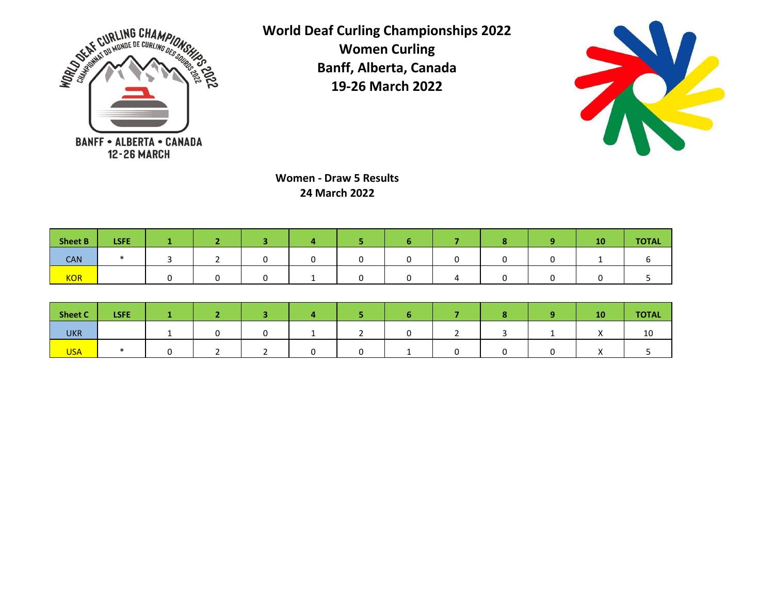



**Women - Draw 5 Results 24 March 2022**

| Sheet B    | <b>LSFE</b> |  |  |  |  | 10/ | <b>TOTAL</b> |
|------------|-------------|--|--|--|--|-----|--------------|
| <b>CAN</b> |             |  |  |  |  |     |              |
| <b>KOR</b> |             |  |  |  |  |     |              |

| Sheet C    | <b>LSFE</b> |  |  |  |  | <b>10</b> | <b>TOTAL</b> |
|------------|-------------|--|--|--|--|-----------|--------------|
| <b>UKR</b> |             |  |  |  |  |           | ∸∽           |
| <b>USA</b> |             |  |  |  |  |           |              |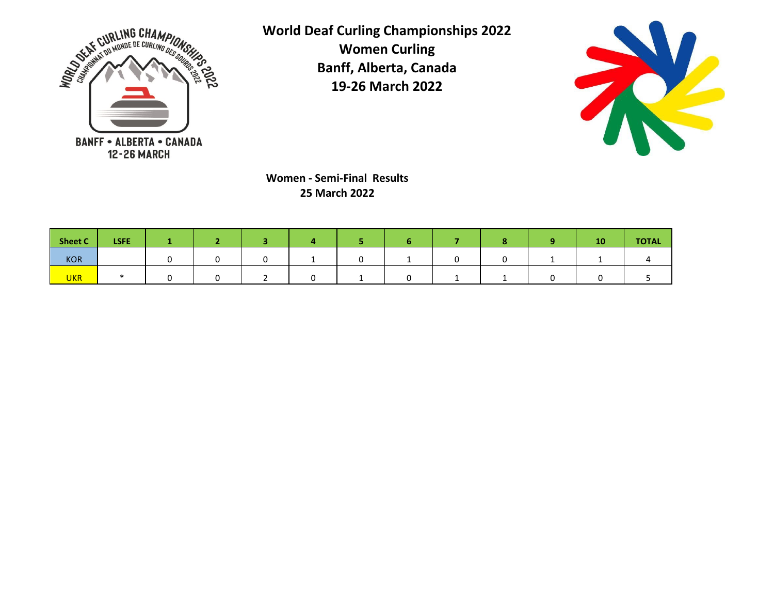



**Women - Semi-Final Results 25 March 2022**

| <b>Sheet C</b> | <b>LSFE</b> |  |  |  |  | 10 | <b>TOTAL</b> |
|----------------|-------------|--|--|--|--|----|--------------|
| KOR            |             |  |  |  |  |    |              |
| <b>UKR</b>     |             |  |  |  |  |    |              |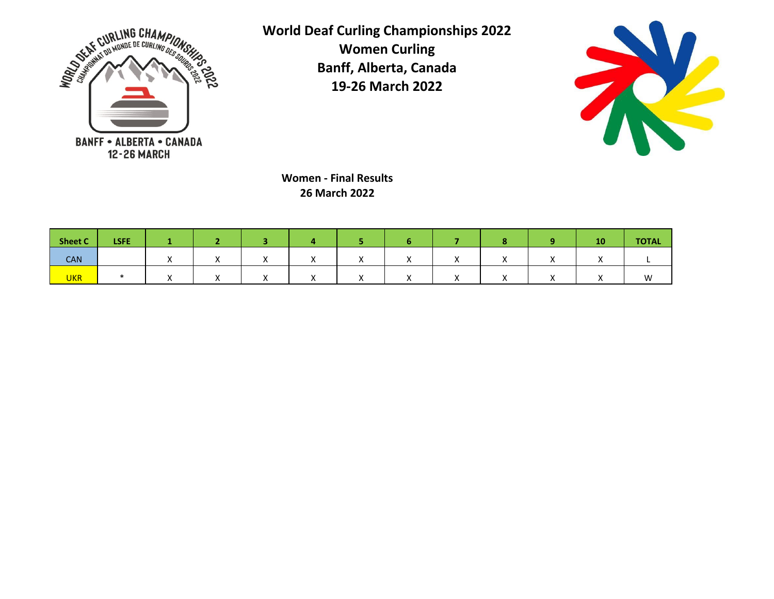



**Women - Final Results 26 March 2022**

| Sheet C    | <b>LSFE</b> |  |  |              |  | 10       | <b>TOTAL</b> |
|------------|-------------|--|--|--------------|--|----------|--------------|
| <b>CAN</b> |             |  |  | $\mathbf{v}$ |  |          |              |
| <b>UKR</b> |             |  |  | $\lambda$    |  | $\cdots$ | <b>A</b>     |